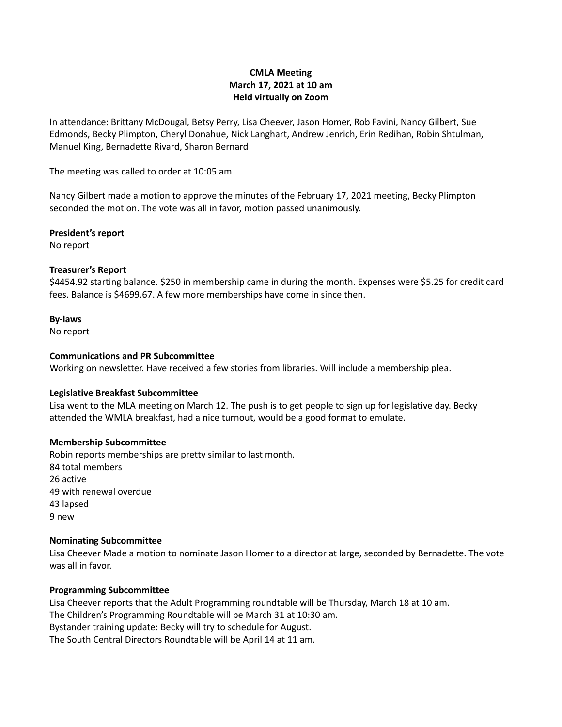# **CMLA Meeting March 17, 2021 at 10 am Held virtually on Zoom**

In attendance: Brittany McDougal, Betsy Perry, Lisa Cheever, Jason Homer, Rob Favini, Nancy Gilbert, Sue Edmonds, Becky Plimpton, Cheryl Donahue, Nick Langhart, Andrew Jenrich, Erin Redihan, Robin Shtulman, Manuel King, Bernadette Rivard, Sharon Bernard

The meeting was called to order at 10:05 am

Nancy Gilbert made a motion to approve the minutes of the February 17, 2021 meeting, Becky Plimpton seconded the motion. The vote was all in favor, motion passed unanimously.

**President's report** No report

### **Treasurer's Report**

\$4454.92 starting balance. \$250 in membership came in during the month. Expenses were \$5.25 for credit card fees. Balance is \$4699.67. A few more memberships have come in since then.

### **By-laws**

No report

### **Communications and PR Subcommittee**

Working on newsletter. Have received a few stories from libraries. Will include a membership plea.

#### **Legislative Breakfast Subcommittee**

Lisa went to the MLA meeting on March 12. The push is to get people to sign up for legislative day. Becky attended the WMLA breakfast, had a nice turnout, would be a good format to emulate.

#### **Membership Subcommittee**

Robin reports memberships are pretty similar to last month. 84 total members 26 active 49 with renewal overdue 43 lapsed 9 new

#### **Nominating Subcommittee**

Lisa Cheever Made a motion to nominate Jason Homer to a director at large, seconded by Bernadette. The vote was all in favor.

## **Programming Subcommittee**

Lisa Cheever reports that the Adult Programming roundtable will be Thursday, March 18 at 10 am. The Children's Programming Roundtable will be March 31 at 10:30 am. Bystander training update: Becky will try to schedule for August. The South Central Directors Roundtable will be April 14 at 11 am.